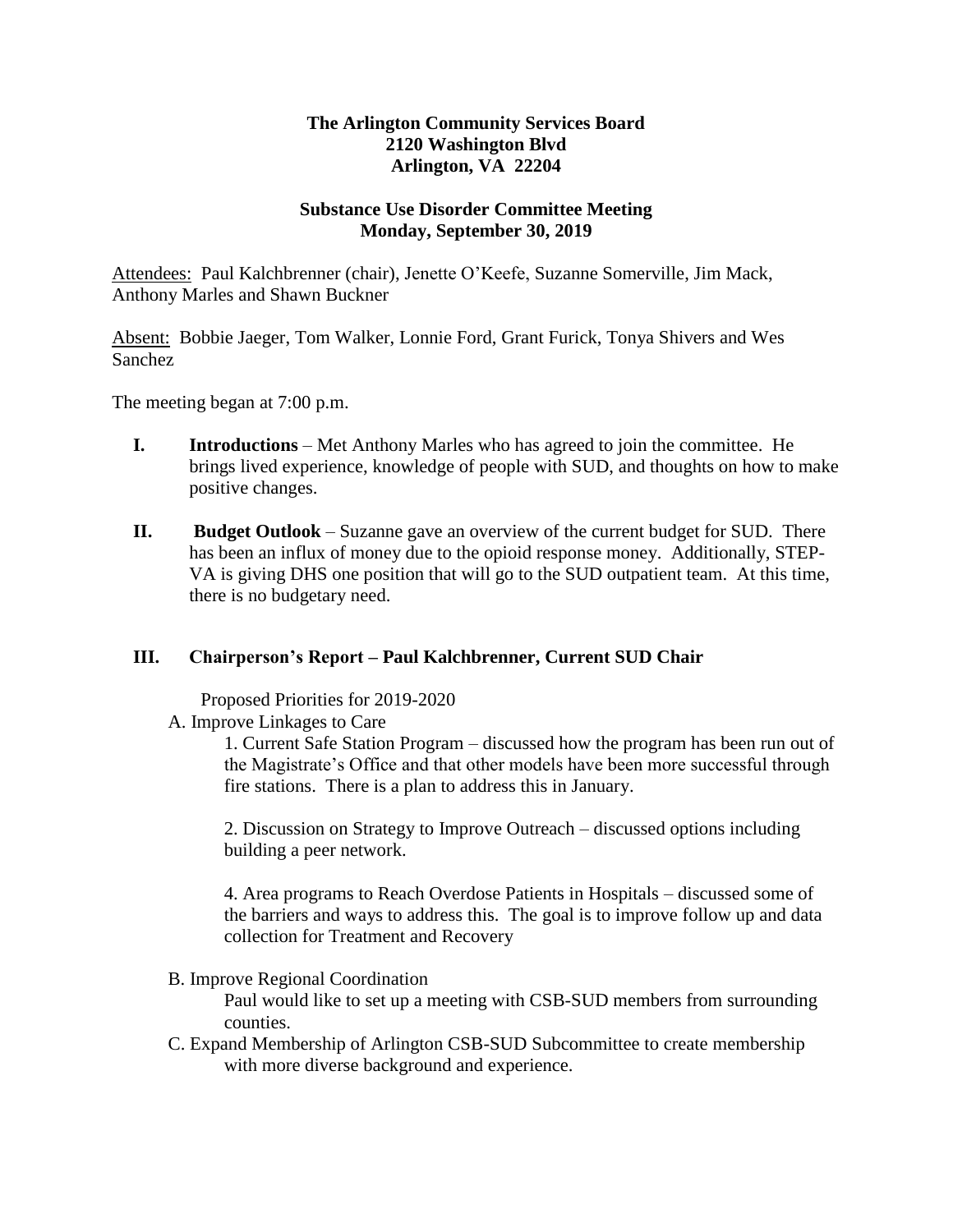## **The Arlington Community Services Board 2120 Washington Blvd Arlington, VA 22204**

## **Substance Use Disorder Committee Meeting Monday, September 30, 2019**

Attendees: Paul Kalchbrenner (chair), Jenette O'Keefe, Suzanne Somerville, Jim Mack, Anthony Marles and Shawn Buckner

Absent: Bobbie Jaeger, Tom Walker, Lonnie Ford, Grant Furick, Tonya Shivers and Wes Sanchez

The meeting began at 7:00 p.m.

- **I. Introductions** Met Anthony Marles who has agreed to join the committee. He brings lived experience, knowledge of people with SUD, and thoughts on how to make positive changes.
- **II. Budget Outlook** Suzanne gave an overview of the current budget for SUD. There has been an influx of money due to the opioid response money. Additionally, STEP-VA is giving DHS one position that will go to the SUD outpatient team. At this time, there is no budgetary need.

## **III. Chairperson's Report – Paul Kalchbrenner, Current SUD Chair**

Proposed Priorities for 2019-2020

A. Improve Linkages to Care

1. Current Safe Station Program – discussed how the program has been run out of the Magistrate's Office and that other models have been more successful through fire stations. There is a plan to address this in January.

2. Discussion on Strategy to Improve Outreach – discussed options including building a peer network.

4. Area programs to Reach Overdose Patients in Hospitals – discussed some of the barriers and ways to address this. The goal is to improve follow up and data collection for Treatment and Recovery

B. Improve Regional Coordination

Paul would like to set up a meeting with CSB-SUD members from surrounding counties.

C. Expand Membership of Arlington CSB-SUD Subcommittee to create membership with more diverse background and experience.